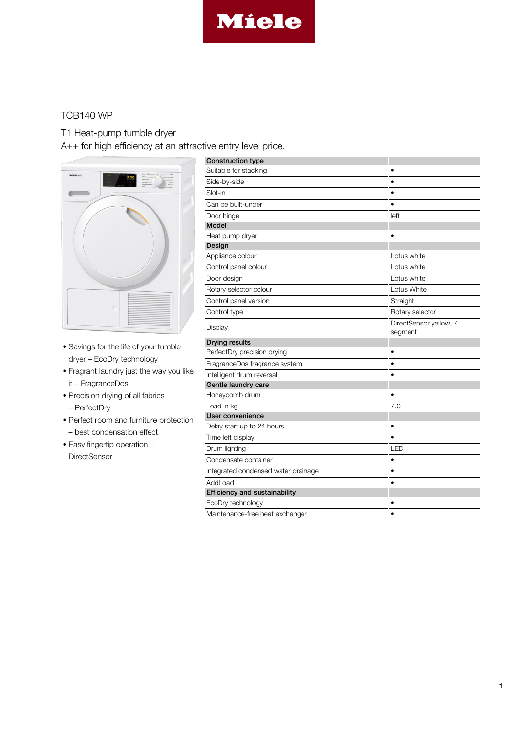

## TCB140 WP

T1 Heat-pump tumble dryer

A++ for high efficiency at an attractive entry level price.



- Savings for the life of your tumble dryer – EcoDry technology
- Fragrant laundry just the way you like it – FragranceDos
- Precision drying of all fabrics – PerfectDry
- Perfect room and furniture protection
	- best condensation effect
- Easy fingertip operation **DirectSensor**

| <b>Construction type</b>             |                                   |
|--------------------------------------|-----------------------------------|
| Suitable for stacking                |                                   |
| Side-by-side                         | $\bullet$                         |
| Slot-in                              | $\bullet$                         |
| Can be built-under                   | $\bullet$                         |
| Door hinge                           | left                              |
| <b>Model</b>                         |                                   |
| Heat pump dryer                      |                                   |
| Design                               |                                   |
| Appliance colour                     | Lotus white                       |
| Control panel colour                 | Lotus white                       |
| Door design                          | Lotus white                       |
| Rotary selector colour               | Lotus White                       |
| Control panel version                | Straight                          |
| Control type                         | Rotary selector                   |
| Display                              | DirectSensor yellow, 7<br>segment |
| <b>Drying results</b>                |                                   |
| PerfectDry precision drying          |                                   |
| FragranceDos fragrance system        |                                   |
| Intelligent drum reversal            |                                   |
| Gentle laundry care                  |                                   |
| Honeycomb drum                       |                                   |
| Load in kg                           | 7.0                               |
| User convenience                     |                                   |
| Delay start up to 24 hours           | $\bullet$                         |
| Time left display                    |                                   |
| Drum lighting                        | LED                               |
| Condensate container                 |                                   |
| Integrated condensed water drainage  | $\bullet$                         |
| AddLoad                              | $\bullet$                         |
| <b>Efficiency and sustainability</b> |                                   |
| EcoDry technology                    |                                   |
| Maintenance-free heat exchanger      |                                   |

1